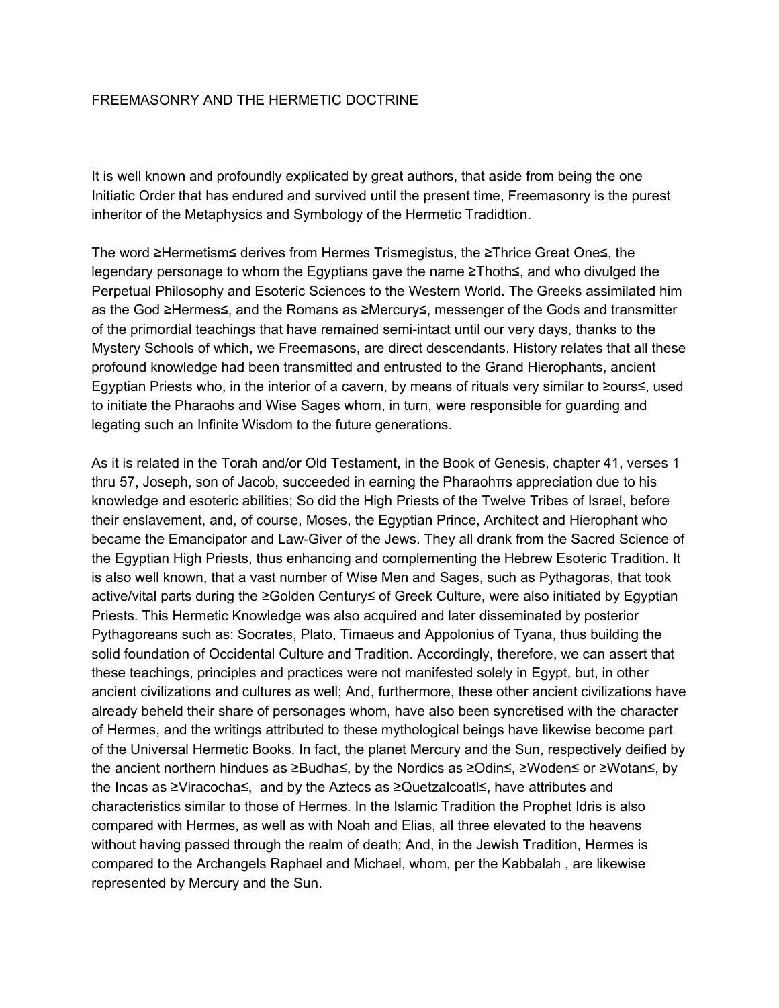### FREEMASONRY AND THE HERMETIC DOCTRINE

It is well known and profoundly explicated by great authors, that aside from being the one Initiatic Order that has endured and survived until the present time, Freemasonry is the purest inheritor of the Metaphysics and Symbology of the Hermetic Tradidtion.

The word ≥Hermetism≤ derives from Hermes Trismegistus, the ≥Thrice Great One≤, the legendary personage to whom the Egyptians gave the name ≥Thoth≤, and who divulged the Perpetual Philosophy and Esoteric Sciences to the Western World. The Greeks assimilated him as the God ≥Hermes≤, and the Romans as ≥Mercury≤, messenger of the Gods and transmitter of the primordial teachings that have remained semi-intact until our very days, thanks to the Mystery Schools of which, we Freemasons, are direct descendants. History relates that all these profound knowledge had been transmitted and entrusted to the Grand Hierophants, ancient Egyptian Priests who, in the interior of a cavern, by means of rituals very similar to ≥ours≤, used to initiate the Pharaohs and Wise Sages whom, in turn, were responsible for guarding and legating such an Infinite Wisdom to the future generations.

As it is related in the Torah and/or Old Testament, in the Book of Genesis, chapter 41, verses 1 thru 57, Joseph, son of Jacob, succeeded in earning the Pharaohπs appreciation due to his knowledge and esoteric abilities; So did the High Priests of the Twelve Tribes of Israel, before their enslavement, and, of course, Moses, the Egyptian Prince, Architect and Hierophant who became the Emancipator and Law-Giver of the Jews. They all drank from the Sacred Science of the Egyptian High Priests, thus enhancing and complementing the Hebrew Esoteric Tradition. It is also well known, that a vast number of Wise Men and Sages, such as Pythagoras, that took active/vital parts during the ≥Golden Century≤ of Greek Culture, were also initiated by Egyptian Priests. This Hermetic Knowledge was also acquired and later disseminated by posterior Pythagoreans such as: Socrates, Plato, Timaeus and Appolonius of Tyana, thus building the solid foundation of Occidental Culture and Tradition. Accordingly, therefore, we can assert that these teachings, principles and practices were not manifested solely in Egypt, but, in other ancient civilizations and cultures as well; And, furthermore, these other ancient civilizations have already beheld their share of personages whom, have also been syncretised with the character of Hermes, and the writings attributed to these mythological beings have likewise become part of the Universal Hermetic Books. In fact, the planet Mercury and the Sun, respectively deified by the ancient northern hindues as ≥Budha≤, by the Nordics as ≥Odin≤, ≥Woden≤ or ≥Wotan≤, by the Incas as ≥Viracocha≤, and by the Aztecs as ≥Quetzalcoatl≤, have attributes and characteristics similar to those of Hermes. In the Islamic Tradition the Prophet Idris is also compared with Hermes, as well as with Noah and Elias, all three elevated to the heavens without having passed through the realm of death; And, in the Jewish Tradition, Hermes is compared to the Archangels Raphael and Michael, whom, per the Kabbalah , are likewise represented by Mercury and the Sun.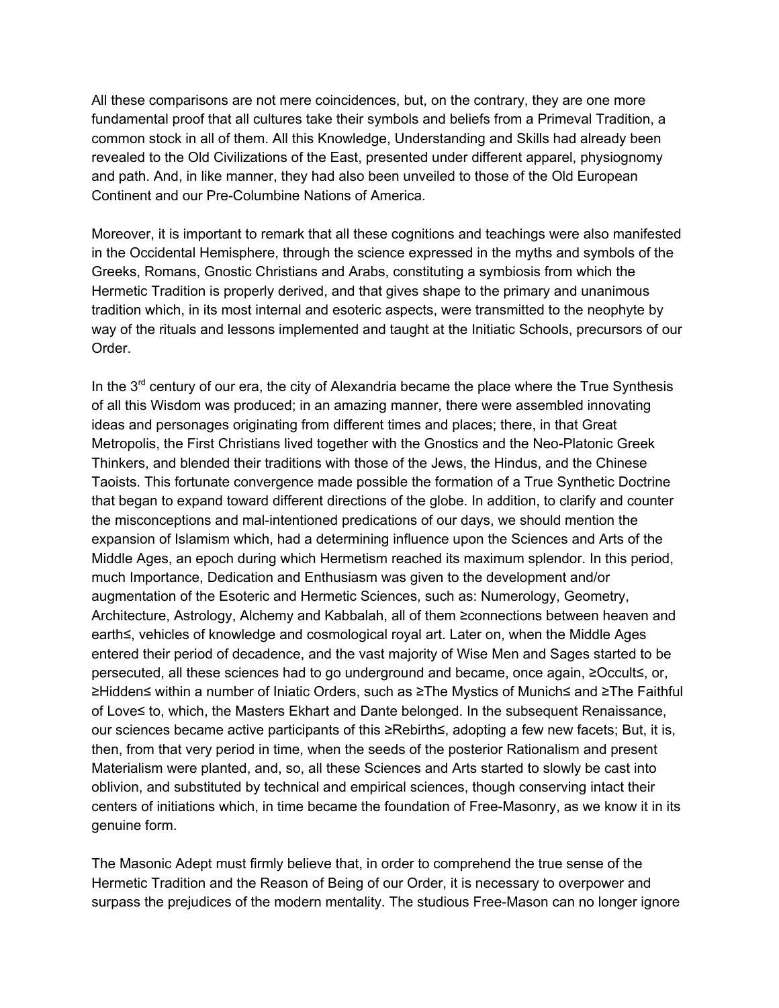All these comparisons are not mere coincidences, but, on the contrary, they are one more fundamental proof that all cultures take their symbols and beliefs from a Primeval Tradition, a common stock in all of them. All this Knowledge, Understanding and Skills had already been revealed to the Old Civilizations of the East, presented under different apparel, physiognomy and path. And, in like manner, they had also been unveiled to those of the Old European Continent and our Pre-Columbine Nations of America.

Moreover, it is important to remark that all these cognitions and teachings were also manifested in the Occidental Hemisphere, through the science expressed in the myths and symbols of the Greeks, Romans, Gnostic Christians and Arabs, constituting a symbiosis from which the Hermetic Tradition is properly derived, and that gives shape to the primary and unanimous tradition which, in its most internal and esoteric aspects, were transmitted to the neophyte by way of the rituals and lessons implemented and taught at the Initiatic Schools, precursors of our Order.

In the  $3<sup>rd</sup>$  century of our era, the city of Alexandria became the place where the True Synthesis of all this Wisdom was produced; in an amazing manner, there were assembled innovating ideas and personages originating from different times and places; there, in that Great Metropolis, the First Christians lived together with the Gnostics and the Neo-Platonic Greek Thinkers, and blended their traditions with those of the Jews, the Hindus, and the Chinese Taoists. This fortunate convergence made possible the formation of a True Synthetic Doctrine that began to expand toward different directions of the globe. In addition, to clarify and counter the misconceptions and mal-intentioned predications of our days, we should mention the expansion of Islamism which, had a determining influence upon the Sciences and Arts of the Middle Ages, an epoch during which Hermetism reached its maximum splendor. In this period, much Importance, Dedication and Enthusiasm was given to the development and/or augmentation of the Esoteric and Hermetic Sciences, such as: Numerology, Geometry, Architecture, Astrology, Alchemy and Kabbalah, all of them ≥connections between heaven and earth≤, vehicles of knowledge and cosmological royal art. Later on, when the Middle Ages entered their period of decadence, and the vast majority of Wise Men and Sages started to be persecuted, all these sciences had to go underground and became, once again, ≥Occult≤, or, ≥Hidden≤ within a number of Iniatic Orders, such as ≥The Mystics of Munich≤ and ≥The Faithful of Love≤ to, which, the Masters Ekhart and Dante belonged. In the subsequent Renaissance, our sciences became active participants of this ≥Rebirth≤, adopting a few new facets; But, it is, then, from that very period in time, when the seeds of the posterior Rationalism and present Materialism were planted, and, so, all these Sciences and Arts started to slowly be cast into oblivion, and substituted by technical and empirical sciences, though conserving intact their centers of initiations which, in time became the foundation of Free-Masonry, as we know it in its genuine form.

The Masonic Adept must firmly believe that, in order to comprehend the true sense of the Hermetic Tradition and the Reason of Being of our Order, it is necessary to overpower and surpass the prejudices of the modern mentality. The studious Free-Mason can no longer ignore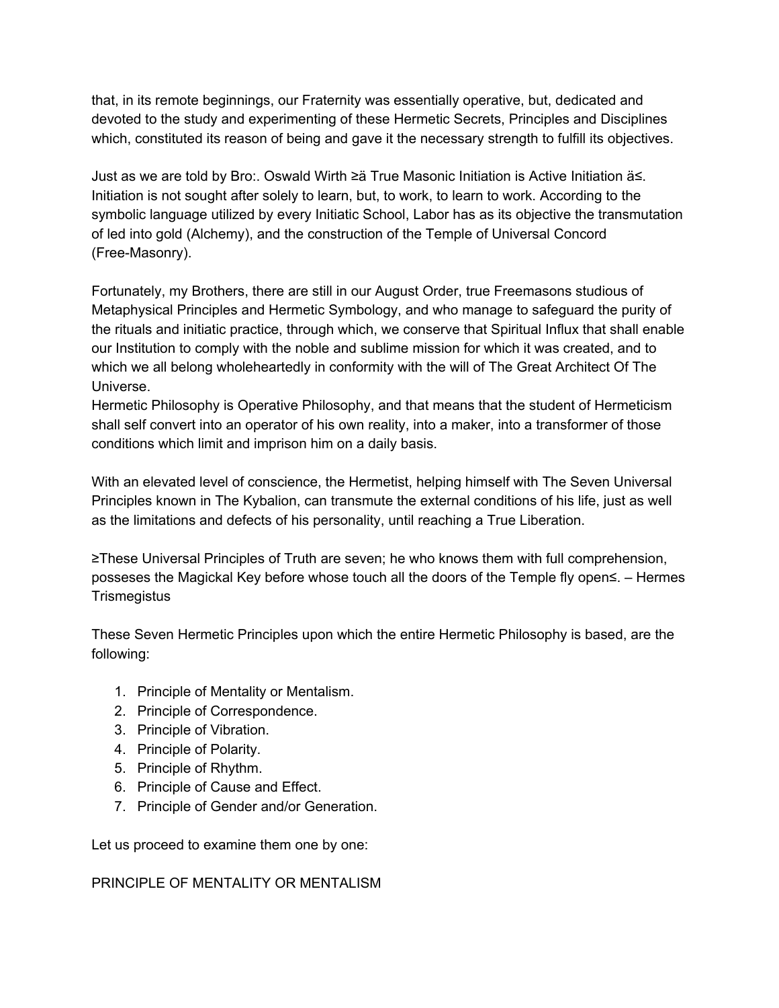that, in its remote beginnings, our Fraternity was essentially operative, but, dedicated and devoted to the study and experimenting of these Hermetic Secrets, Principles and Disciplines which, constituted its reason of being and gave it the necessary strength to fulfill its objectives.

Just as we are told by Bro:. Oswald Wirth ≥ä True Masonic Initiation is Active Initiation ä≤. Initiation is not sought after solely to learn, but, to work, to learn to work. According to the symbolic language utilized by every Initiatic School, Labor has as its objective the transmutation of led into gold (Alchemy), and the construction of the Temple of Universal Concord (Free-Masonry).

Fortunately, my Brothers, there are still in our August Order, true Freemasons studious of Metaphysical Principles and Hermetic Symbology, and who manage to safeguard the purity of the rituals and initiatic practice, through which, we conserve that Spiritual Influx that shall enable our Institution to comply with the noble and sublime mission for which it was created, and to which we all belong wholeheartedly in conformity with the will of The Great Architect Of The Universe.

Hermetic Philosophy is Operative Philosophy, and that means that the student of Hermeticism shall self convert into an operator of his own reality, into a maker, into a transformer of those conditions which limit and imprison him on a daily basis.

With an elevated level of conscience, the Hermetist, helping himself with The Seven Universal Principles known in The Kybalion, can transmute the external conditions of his life, just as well as the limitations and defects of his personality, until reaching a True Liberation.

≥These Universal Principles of Truth are seven; he who knows them with full comprehension, posseses the Magickal Key before whose touch all the doors of the Temple fly open≤. – Hermes **Trismegistus** 

These Seven Hermetic Principles upon which the entire Hermetic Philosophy is based, are the following:

- 1. Principle of Mentality or Mentalism.
- 2. Principle of Correspondence.
- 3. Principle of Vibration.
- 4. Principle of Polarity.
- 5. Principle of Rhythm.
- 6. Principle of Cause and Effect.
- 7. Principle of Gender and/or Generation.

Let us proceed to examine them one by one:

PRINCIPLE OF MENTALITY OR MENTALISM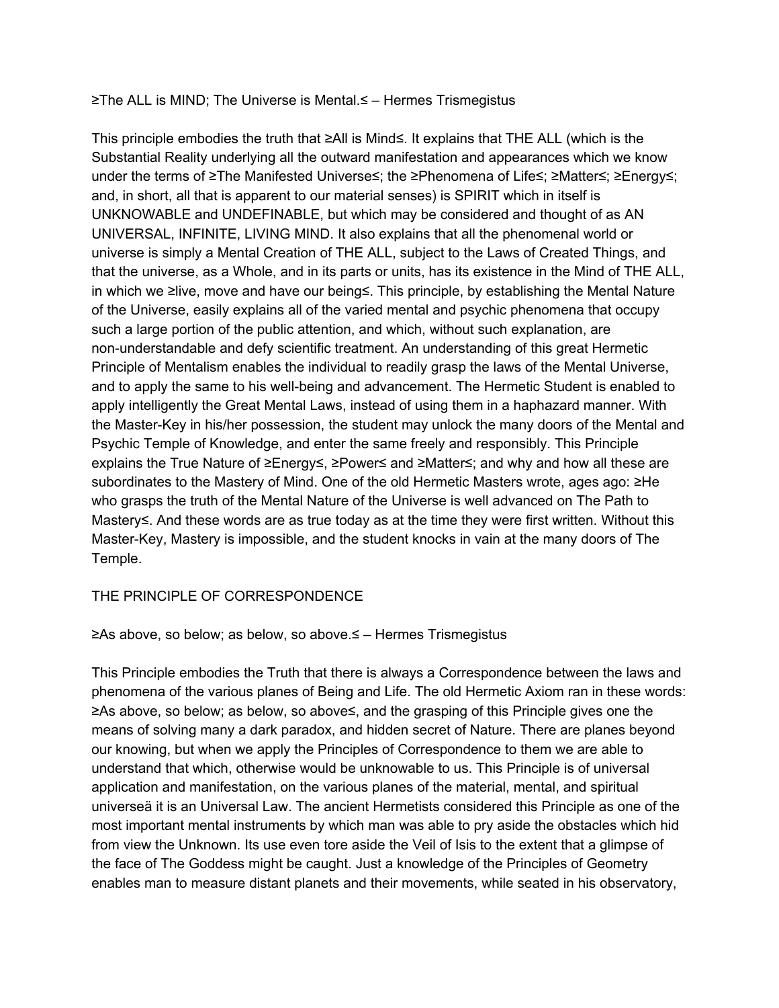#### ≥The ALL is MIND; The Universe is Mental.≤ – Hermes Trismegistus

This principle embodies the truth that ≥All is Mind≤. It explains that THE ALL (which is the Substantial Reality underlying all the outward manifestation and appearances which we know under the terms of ≥The Manifested Universe≤; the ≥Phenomena of Life≤; ≥Matter≤; ≥Energy≤; and, in short, all that is apparent to our material senses) is SPIRIT which in itself is UNKNOWABLE and UNDEFINABLE, but which may be considered and thought of as AN UNIVERSAL, INFINITE, LIVING MIND. It also explains that all the phenomenal world or universe is simply a Mental Creation of THE ALL, subject to the Laws of Created Things, and that the universe, as a Whole, and in its parts or units, has its existence in the Mind of THE ALL, in which we ≥live, move and have our being≤. This principle, by establishing the Mental Nature of the Universe, easily explains all of the varied mental and psychic phenomena that occupy such a large portion of the public attention, and which, without such explanation, are non-understandable and defy scientific treatment. An understanding of this great Hermetic Principle of Mentalism enables the individual to readily grasp the laws of the Mental Universe, and to apply the same to his well-being and advancement. The Hermetic Student is enabled to apply intelligently the Great Mental Laws, instead of using them in a haphazard manner. With the Master-Key in his/her possession, the student may unlock the many doors of the Mental and Psychic Temple of Knowledge, and enter the same freely and responsibly. This Principle explains the True Nature of ≥Energy≤, ≥Power≤ and ≥Matter≤; and why and how all these are subordinates to the Mastery of Mind. One of the old Hermetic Masters wrote, ages ago: ≥He who grasps the truth of the Mental Nature of the Universe is well advanced on The Path to Mastery≤. And these words are as true today as at the time they were first written. Without this Master-Key, Mastery is impossible, and the student knocks in vain at the many doors of The Temple.

# THE PRINCIPLE OF CORRESPONDENCE

### ≥As above, so below; as below, so above.≤ – Hermes Trismegistus

This Principle embodies the Truth that there is always a Correspondence between the laws and phenomena of the various planes of Being and Life. The old Hermetic Axiom ran in these words: ≥As above, so below; as below, so above≤, and the grasping of this Principle gives one the means of solving many a dark paradox, and hidden secret of Nature. There are planes beyond our knowing, but when we apply the Principles of Correspondence to them we are able to understand that which, otherwise would be unknowable to us. This Principle is of universal application and manifestation, on the various planes of the material, mental, and spiritual universeä it is an Universal Law. The ancient Hermetists considered this Principle as one of the most important mental instruments by which man was able to pry aside the obstacles which hid from view the Unknown. Its use even tore aside the Veil of Isis to the extent that a glimpse of the face of The Goddess might be caught. Just a knowledge of the Principles of Geometry enables man to measure distant planets and their movements, while seated in his observatory,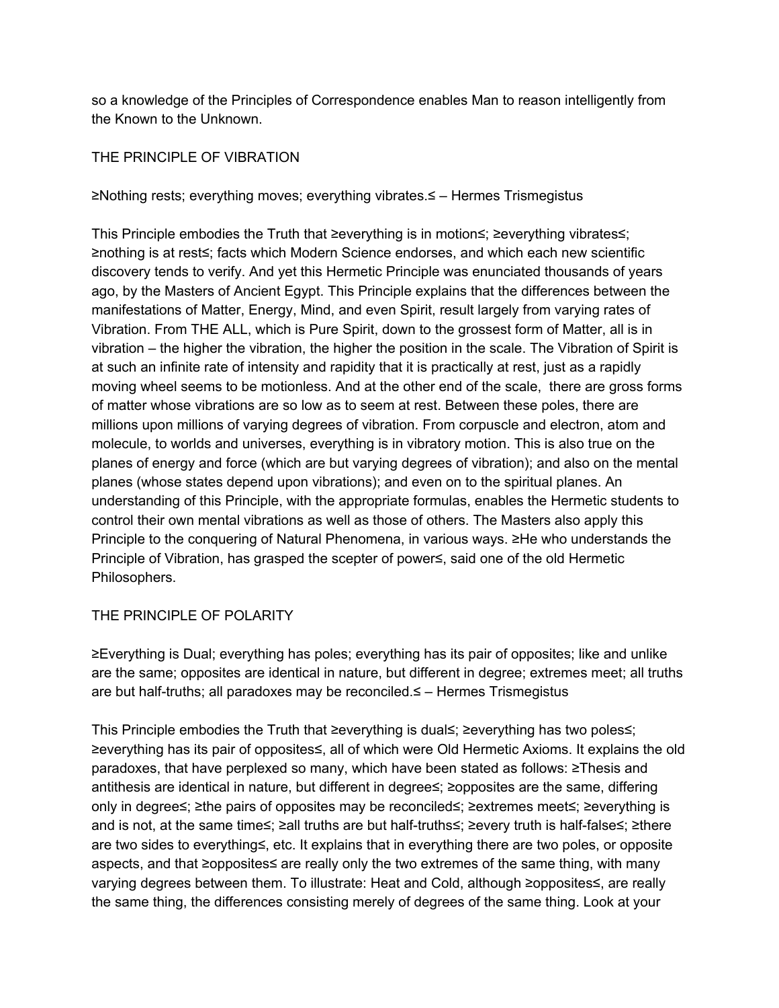so a knowledge of the Principles of Correspondence enables Man to reason intelligently from the Known to the Unknown.

## THE PRINCIPLE OF VIBRATION

≥Nothing rests; everything moves; everything vibrates.≤ – Hermes Trismegistus

This Principle embodies the Truth that ≥everything is in motion≤; ≥everything vibrates≤; ≥nothing is at rest≤; facts which Modern Science endorses, and which each new scientific discovery tends to verify. And yet this Hermetic Principle was enunciated thousands of years ago, by the Masters of Ancient Egypt. This Principle explains that the differences between the manifestations of Matter, Energy, Mind, and even Spirit, result largely from varying rates of Vibration. From THE ALL, which is Pure Spirit, down to the grossest form of Matter, all is in vibration – the higher the vibration, the higher the position in the scale. The Vibration of Spirit is at such an infinite rate of intensity and rapidity that it is practically at rest, just as a rapidly moving wheel seems to be motionless. And at the other end of the scale, there are gross forms of matter whose vibrations are so low as to seem at rest. Between these poles, there are millions upon millions of varying degrees of vibration. From corpuscle and electron, atom and molecule, to worlds and universes, everything is in vibratory motion. This is also true on the planes of energy and force (which are but varying degrees of vibration); and also on the mental planes (whose states depend upon vibrations); and even on to the spiritual planes. An understanding of this Principle, with the appropriate formulas, enables the Hermetic students to control their own mental vibrations as well as those of others. The Masters also apply this Principle to the conquering of Natural Phenomena, in various ways. ≥He who understands the Principle of Vibration, has grasped the scepter of power≤, said one of the old Hermetic Philosophers.

### THE PRINCIPLE OF POLARITY

≥Everything is Dual; everything has poles; everything has its pair of opposites; like and unlike are the same; opposites are identical in nature, but different in degree; extremes meet; all truths are but half-truths; all paradoxes may be reconciled.≤ – Hermes Trismegistus

This Principle embodies the Truth that ≥everything is dual≤; ≥everything has two poles≤; ≥everything has its pair of opposites≤, all of which were Old Hermetic Axioms. It explains the old paradoxes, that have perplexed so many, which have been stated as follows: ≥Thesis and antithesis are identical in nature, but different in degree≤; ≥opposites are the same, differing only in degree≤; ≥the pairs of opposites may be reconciled≤; ≥extremes meet≤; ≥everything is and is not, at the same time≤; ≥all truths are but half-truths≤; ≥every truth is half-false≤; ≥there are two sides to everything≤, etc. It explains that in everything there are two poles, or opposite aspects, and that ≥opposites≤ are really only the two extremes of the same thing, with many varying degrees between them. To illustrate: Heat and Cold, although ≥opposites≤, are really the same thing, the differences consisting merely of degrees of the same thing. Look at your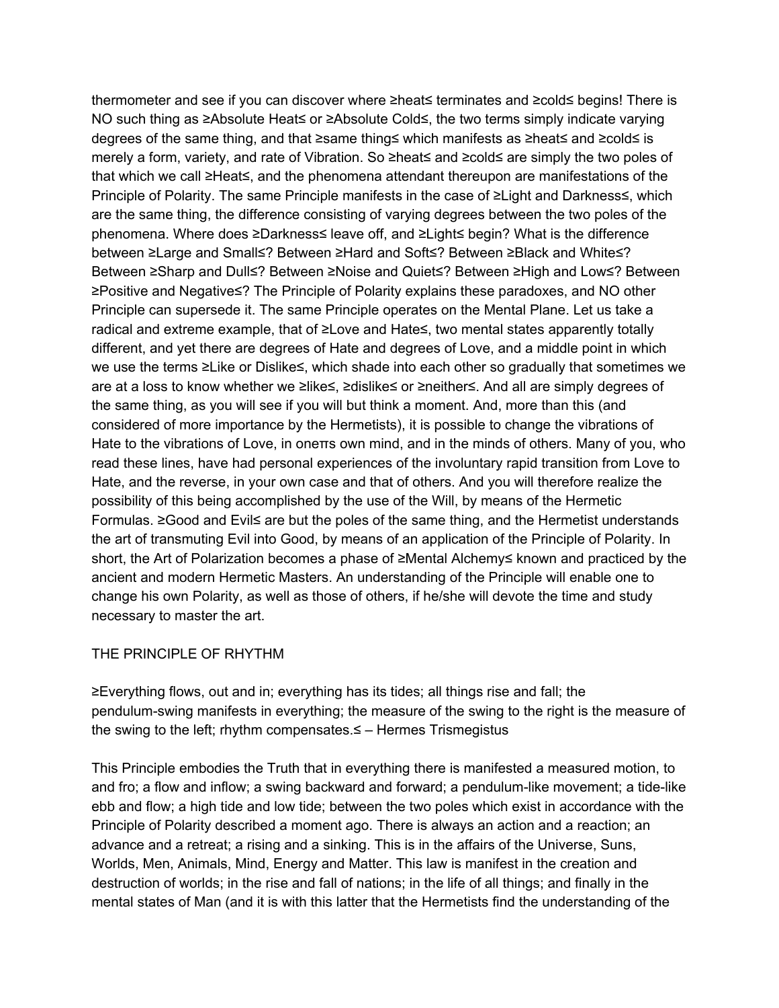thermometer and see if you can discover where ≥heat≤ terminates and ≥cold≤ begins! There is NO such thing as ≥Absolute Heat≤ or ≥Absolute Cold≤, the two terms simply indicate varying degrees of the same thing, and that ≥same thing≤ which manifests as ≥heat≤ and ≥cold≤ is merely a form, variety, and rate of Vibration. So ≥heat≤ and ≥cold≤ are simply the two poles of that which we call ≥Heat≤, and the phenomena attendant thereupon are manifestations of the Principle of Polarity. The same Principle manifests in the case of ≥Light and Darkness≤, which are the same thing, the difference consisting of varying degrees between the two poles of the phenomena. Where does ≥Darkness≤ leave off, and ≥Light≤ begin? What is the difference between ≥Large and Small≤? Between ≥Hard and Soft≤? Between ≥Black and White≤? Between ≥Sharp and Dull≤? Between ≥Noise and Quiet≤? Between ≥High and Low≤? Between ≥Positive and Negative≤? The Principle of Polarity explains these paradoxes, and NO other Principle can supersede it. The same Principle operates on the Mental Plane. Let us take a radical and extreme example, that of ≥Love and Hate≤, two mental states apparently totally different, and yet there are degrees of Hate and degrees of Love, and a middle point in which we use the terms ≥Like or Dislike≤, which shade into each other so gradually that sometimes we are at a loss to know whether we ≥like≤, ≥dislike≤ or ≥neither≤. And all are simply degrees of the same thing, as you will see if you will but think a moment. And, more than this (and considered of more importance by the Hermetists), it is possible to change the vibrations of Hate to the vibrations of Love, in oneπs own mind, and in the minds of others. Many of you, who read these lines, have had personal experiences of the involuntary rapid transition from Love to Hate, and the reverse, in your own case and that of others. And you will therefore realize the possibility of this being accomplished by the use of the Will, by means of the Hermetic Formulas. ≥Good and Evil≤ are but the poles of the same thing, and the Hermetist understands the art of transmuting Evil into Good, by means of an application of the Principle of Polarity. In short, the Art of Polarization becomes a phase of ≥Mental Alchemy≤ known and practiced by the ancient and modern Hermetic Masters. An understanding of the Principle will enable one to change his own Polarity, as well as those of others, if he/she will devote the time and study necessary to master the art.

#### THE PRINCIPLE OF RHYTHM

≥Everything flows, out and in; everything has its tides; all things rise and fall; the pendulum-swing manifests in everything; the measure of the swing to the right is the measure of the swing to the left; rhythm compensates.≤ – Hermes Trismegistus

This Principle embodies the Truth that in everything there is manifested a measured motion, to and fro; a flow and inflow; a swing backward and forward; a pendulum-like movement; a tide-like ebb and flow; a high tide and low tide; between the two poles which exist in accordance with the Principle of Polarity described a moment ago. There is always an action and a reaction; an advance and a retreat; a rising and a sinking. This is in the affairs of the Universe, Suns, Worlds, Men, Animals, Mind, Energy and Matter. This law is manifest in the creation and destruction of worlds; in the rise and fall of nations; in the life of all things; and finally in the mental states of Man (and it is with this latter that the Hermetists find the understanding of the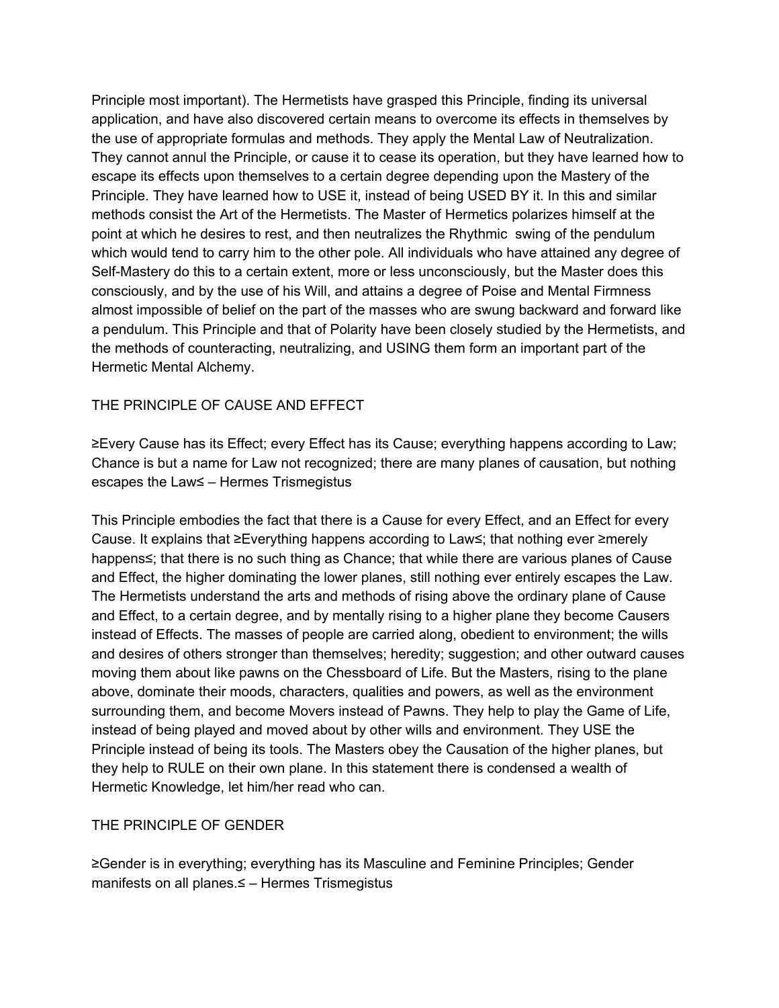Principle most important). The Hermetists have grasped this Principle, finding its universal application, and have also discovered certain means to overcome its effects in themselves by the use of appropriate formulas and methods. They apply the Mental Law of Neutralization. They cannot annul the Principle, or cause it to cease its operation, but they have learned how to escape its effects upon themselves to a certain degree depending upon the Mastery of the Principle. They have learned how to USE it, instead of being USED BY it. In this and similar methods consist the Art of the Hermetists. The Master of Hermetics polarizes himself at the point at which he desires to rest, and then neutralizes the Rhythmic swing of the pendulum which would tend to carry him to the other pole. All individuals who have attained any degree of Self-Mastery do this to a certain extent, more or less unconsciously, but the Master does this consciously, and by the use of his Will, and attains a degree of Poise and Mental Firmness almost impossible of belief on the part of the masses who are swung backward and forward like a pendulum. This Principle and that of Polarity have been closely studied by the Hermetists, and the methods of counteracting, neutralizing, and USING them form an important part of the Hermetic Mental Alchemy.

# THE PRINCIPLE OF CAUSE AND EFFECT

≥Every Cause has its Effect; every Effect has its Cause; everything happens according to Law; Chance is but a name for Law not recognized; there are many planes of causation, but nothing escapes the Law≤ – Hermes Trismegistus

This Principle embodies the fact that there is a Cause for every Effect, and an Effect for every Cause. It explains that ≥Everything happens according to Law≤; that nothing ever ≥merely happens≤; that there is no such thing as Chance; that while there are various planes of Cause and Effect, the higher dominating the lower planes, still nothing ever entirely escapes the Law. The Hermetists understand the arts and methods of rising above the ordinary plane of Cause and Effect, to a certain degree, and by mentally rising to a higher plane they become Causers instead of Effects. The masses of people are carried along, obedient to environment; the wills and desires of others stronger than themselves; heredity; suggestion; and other outward causes moving them about like pawns on the Chessboard of Life. But the Masters, rising to the plane above, dominate their moods, characters, qualities and powers, as well as the environment surrounding them, and become Movers instead of Pawns. They help to play the Game of Life, instead of being played and moved about by other wills and environment. They USE the Principle instead of being its tools. The Masters obey the Causation of the higher planes, but they help to RULE on their own plane. In this statement there is condensed a wealth of Hermetic Knowledge, let him/her read who can.

### THE PRINCIPLE OF GENDER

≥Gender is in everything; everything has its Masculine and Feminine Principles; Gender manifests on all planes.≤ – Hermes Trismegistus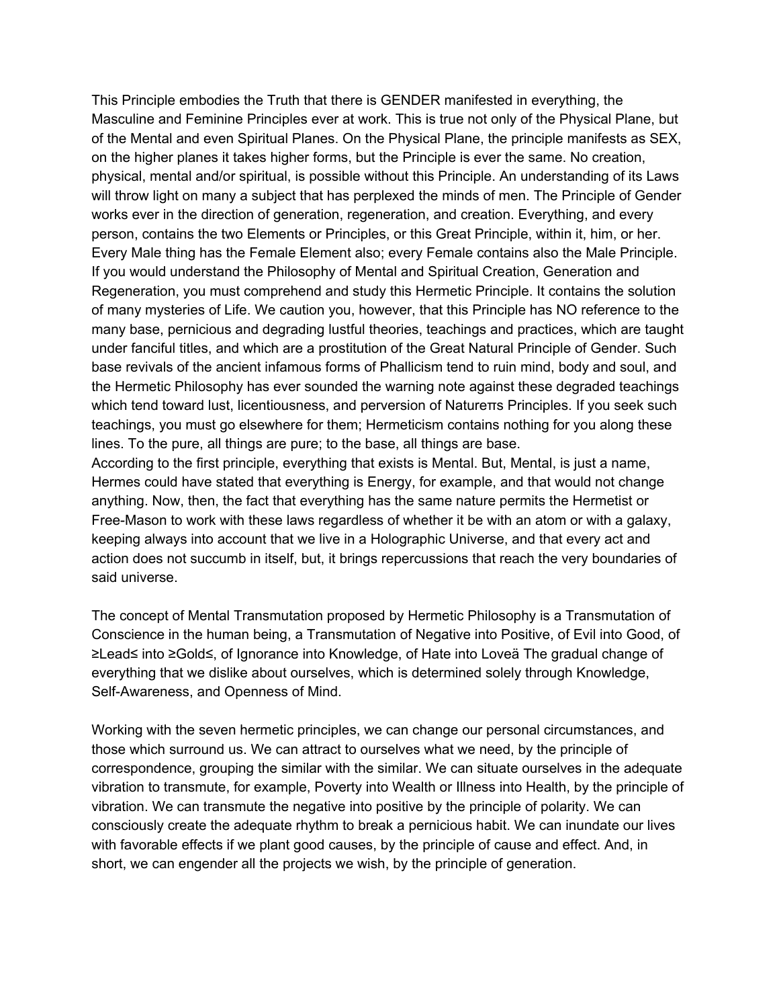This Principle embodies the Truth that there is GENDER manifested in everything, the Masculine and Feminine Principles ever at work. This is true not only of the Physical Plane, but of the Mental and even Spiritual Planes. On the Physical Plane, the principle manifests as SEX, on the higher planes it takes higher forms, but the Principle is ever the same. No creation, physical, mental and/or spiritual, is possible without this Principle. An understanding of its Laws will throw light on many a subject that has perplexed the minds of men. The Principle of Gender works ever in the direction of generation, regeneration, and creation. Everything, and every person, contains the two Elements or Principles, or this Great Principle, within it, him, or her. Every Male thing has the Female Element also; every Female contains also the Male Principle. If you would understand the Philosophy of Mental and Spiritual Creation, Generation and Regeneration, you must comprehend and study this Hermetic Principle. It contains the solution of many mysteries of Life. We caution you, however, that this Principle has NO reference to the many base, pernicious and degrading lustful theories, teachings and practices, which are taught under fanciful titles, and which are a prostitution of the Great Natural Principle of Gender. Such base revivals of the ancient infamous forms of Phallicism tend to ruin mind, body and soul, and the Hermetic Philosophy has ever sounded the warning note against these degraded teachings which tend toward lust, licentiousness, and perversion of Natureπs Principles. If you seek such teachings, you must go elsewhere for them; Hermeticism contains nothing for you along these lines. To the pure, all things are pure; to the base, all things are base.

According to the first principle, everything that exists is Mental. But, Mental, is just a name, Hermes could have stated that everything is Energy, for example, and that would not change anything. Now, then, the fact that everything has the same nature permits the Hermetist or Free-Mason to work with these laws regardless of whether it be with an atom or with a galaxy, keeping always into account that we live in a Holographic Universe, and that every act and action does not succumb in itself, but, it brings repercussions that reach the very boundaries of said universe.

The concept of Mental Transmutation proposed by Hermetic Philosophy is a Transmutation of Conscience in the human being, a Transmutation of Negative into Positive, of Evil into Good, of ≥Lead≤ into ≥Gold≤, of Ignorance into Knowledge, of Hate into Loveä The gradual change of everything that we dislike about ourselves, which is determined solely through Knowledge, Self-Awareness, and Openness of Mind.

Working with the seven hermetic principles, we can change our personal circumstances, and those which surround us. We can attract to ourselves what we need, by the principle of correspondence, grouping the similar with the similar. We can situate ourselves in the adequate vibration to transmute, for example, Poverty into Wealth or Illness into Health, by the principle of vibration. We can transmute the negative into positive by the principle of polarity. We can consciously create the adequate rhythm to break a pernicious habit. We can inundate our lives with favorable effects if we plant good causes, by the principle of cause and effect. And, in short, we can engender all the projects we wish, by the principle of generation.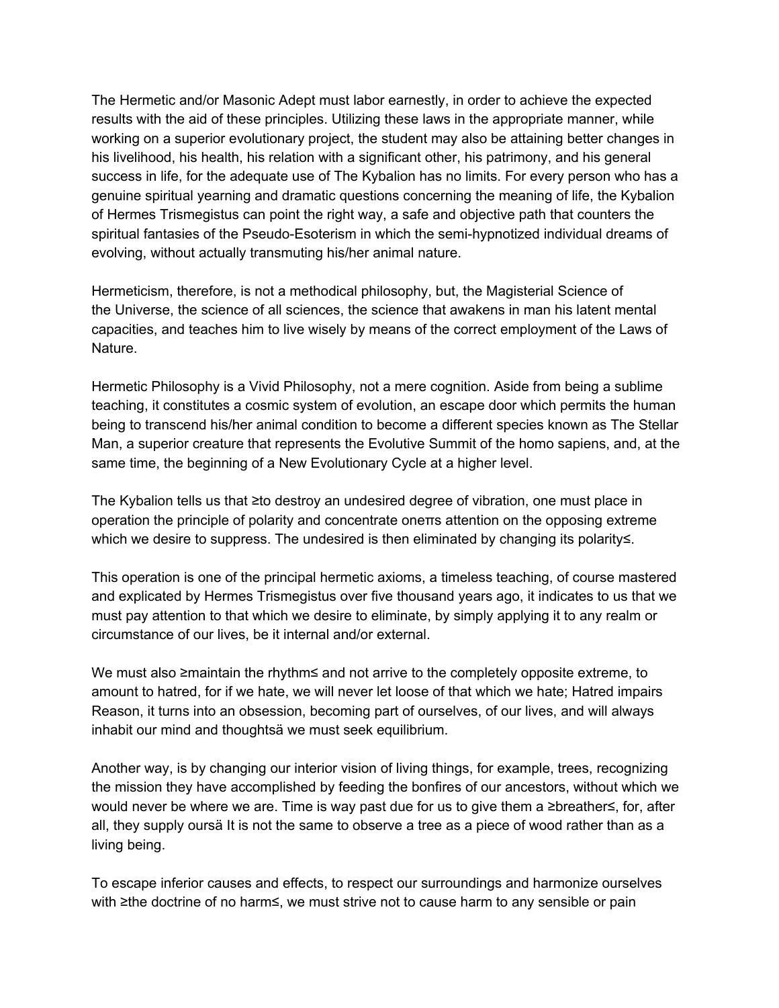The Hermetic and/or Masonic Adept must labor earnestly, in order to achieve the expected results with the aid of these principles. Utilizing these laws in the appropriate manner, while working on a superior evolutionary project, the student may also be attaining better changes in his livelihood, his health, his relation with a significant other, his patrimony, and his general success in life, for the adequate use of The Kybalion has no limits. For every person who has a genuine spiritual yearning and dramatic questions concerning the meaning of life, the Kybalion of Hermes Trismegistus can point the right way, a safe and objective path that counters the spiritual fantasies of the Pseudo-Esoterism in which the semi-hypnotized individual dreams of evolving, without actually transmuting his/her animal nature.

Hermeticism, therefore, is not a methodical philosophy, but, the Magisterial Science of the Universe, the science of all sciences, the science that awakens in man his latent mental capacities, and teaches him to live wisely by means of the correct employment of the Laws of Nature.

Hermetic Philosophy is a Vivid Philosophy, not a mere cognition. Aside from being a sublime teaching, it constitutes a cosmic system of evolution, an escape door which permits the human being to transcend his/her animal condition to become a different species known as The Stellar Man, a superior creature that represents the Evolutive Summit of the homo sapiens, and, at the same time, the beginning of a New Evolutionary Cycle at a higher level.

The Kybalion tells us that ≥to destroy an undesired degree of vibration, one must place in operation the principle of polarity and concentrate oneπs attention on the opposing extreme which we desire to suppress. The undesired is then eliminated by changing its polarity≤.

This operation is one of the principal hermetic axioms, a timeless teaching, of course mastered and explicated by Hermes Trismegistus over five thousand years ago, it indicates to us that we must pay attention to that which we desire to eliminate, by simply applying it to any realm or circumstance of our lives, be it internal and/or external.

We must also ≥maintain the rhythm≤ and not arrive to the completely opposite extreme, to amount to hatred, for if we hate, we will never let loose of that which we hate; Hatred impairs Reason, it turns into an obsession, becoming part of ourselves, of our lives, and will always inhabit our mind and thoughtsä we must seek equilibrium.

Another way, is by changing our interior vision of living things, for example, trees, recognizing the mission they have accomplished by feeding the bonfires of our ancestors, without which we would never be where we are. Time is way past due for us to give them a ≥breather≤, for, after all, they supply oursä It is not the same to observe a tree as a piece of wood rather than as a living being.

To escape inferior causes and effects, to respect our surroundings and harmonize ourselves with ≥the doctrine of no harm≤, we must strive not to cause harm to any sensible or pain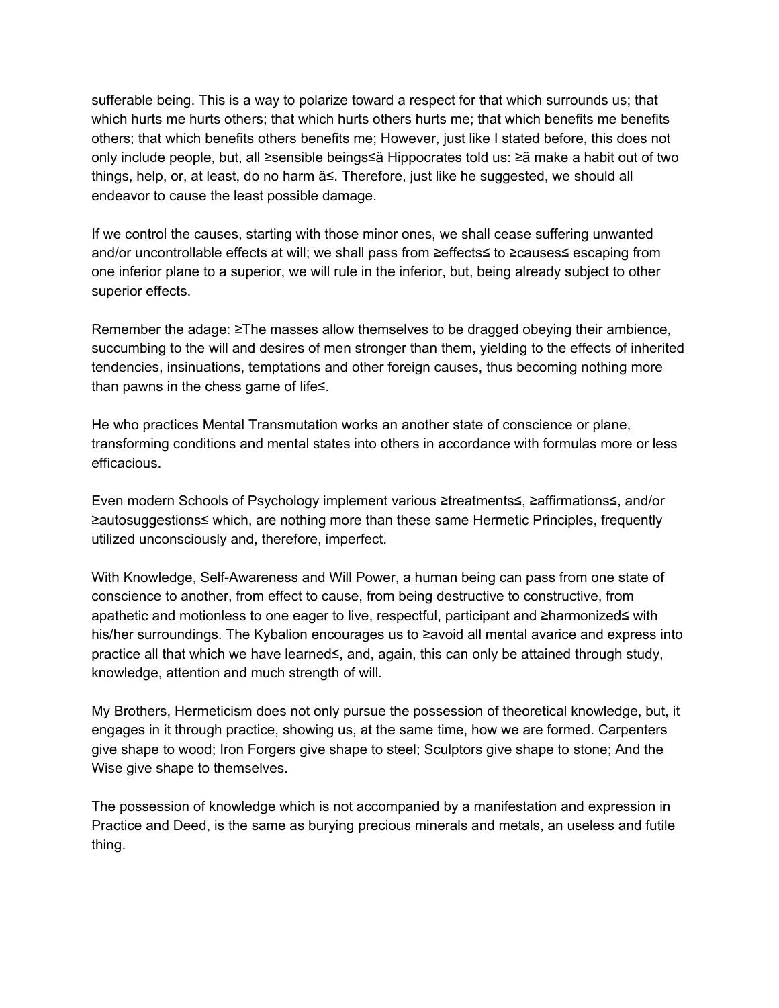sufferable being. This is a way to polarize toward a respect for that which surrounds us; that which hurts me hurts others; that which hurts others hurts me; that which benefits me benefits others; that which benefits others benefits me; However, just like I stated before, this does not only include people, but, all ≥sensible beings≤ä Hippocrates told us: ≥ä make a habit out of two things, help, or, at least, do no harm ä≤. Therefore, just like he suggested, we should all endeavor to cause the least possible damage.

If we control the causes, starting with those minor ones, we shall cease suffering unwanted and/or uncontrollable effects at will; we shall pass from ≥effects≤ to ≥causes≤ escaping from one inferior plane to a superior, we will rule in the inferior, but, being already subject to other superior effects.

Remember the adage: ≥The masses allow themselves to be dragged obeying their ambience, succumbing to the will and desires of men stronger than them, yielding to the effects of inherited tendencies, insinuations, temptations and other foreign causes, thus becoming nothing more than pawns in the chess game of life≤.

He who practices Mental Transmutation works an another state of conscience or plane, transforming conditions and mental states into others in accordance with formulas more or less efficacious.

Even modern Schools of Psychology implement various ≥treatments≤, ≥affirmations≤, and/or ≥autosuggestions≤ which, are nothing more than these same Hermetic Principles, frequently utilized unconsciously and, therefore, imperfect.

With Knowledge, Self-Awareness and Will Power, a human being can pass from one state of conscience to another, from effect to cause, from being destructive to constructive, from apathetic and motionless to one eager to live, respectful, participant and ≥harmonized≤ with his/her surroundings. The Kybalion encourages us to ≥avoid all mental avarice and express into practice all that which we have learned≤, and, again, this can only be attained through study, knowledge, attention and much strength of will.

My Brothers, Hermeticism does not only pursue the possession of theoretical knowledge, but, it engages in it through practice, showing us, at the same time, how we are formed. Carpenters give shape to wood; Iron Forgers give shape to steel; Sculptors give shape to stone; And the Wise give shape to themselves.

The possession of knowledge which is not accompanied by a manifestation and expression in Practice and Deed, is the same as burying precious minerals and metals, an useless and futile thing.